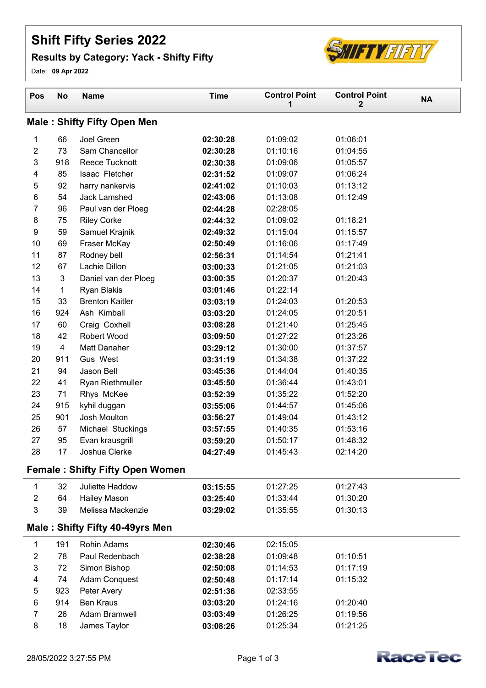## **Shift Fifty Series 2022**

## **Results by Category: Yack - Shifty Fifty**



Date: **09 Apr 2022**

| Pos                     | <b>No</b>      | <b>Name</b>                            | <b>Time</b>          | <b>Control Point</b><br>1 | <b>Control Point</b><br>$\mathbf{2}$ | <b>NA</b> |
|-------------------------|----------------|----------------------------------------|----------------------|---------------------------|--------------------------------------|-----------|
|                         |                | <b>Male: Shifty Fifty Open Men</b>     |                      |                           |                                      |           |
| 1                       | 66             | Joel Green                             | 02:30:28             | 01:09:02                  | 01:06:01                             |           |
| $\boldsymbol{2}$        | 73             | Sam Chancellor                         | 02:30:28             | 01:10:16                  | 01:04:55                             |           |
| 3                       | 918            | <b>Reece Tucknott</b>                  | 02:30:38             | 01:09:06                  | 01:05:57                             |           |
| $\overline{\mathbf{4}}$ | 85             | Isaac Fletcher                         | 02:31:52             | 01:09:07                  | 01:06:24                             |           |
| 5                       | 92             | harry nankervis                        | 02:41:02             | 01:10:03                  | 01:13:12                             |           |
| 6                       | 54             | Jack Lamshed                           | 02:43:06             | 01:13:08                  | 01:12:49                             |           |
| 7                       | 96             | Paul van der Ploeg                     | 02:44:28             | 02:28:05                  |                                      |           |
| $\bf 8$                 | 75             | <b>Riley Corke</b>                     | 02:44:32             | 01:09:02                  | 01:18:21                             |           |
| 9                       | 59             | Samuel Krajnik                         | 02:49:32             | 01:15:04                  | 01:15:57                             |           |
| 10                      | 69             | Fraser McKay                           | 02:50:49             | 01:16:06                  | 01:17:49                             |           |
| 11                      | 87             | Rodney bell                            | 02:56:31             | 01:14:54                  | 01:21:41                             |           |
| 12                      | 67             | Lachie Dillon                          | 03:00:33             | 01:21:05                  | 01:21:03                             |           |
| 13                      | 3              | Daniel van der Ploeg                   | 03:00:35             | 01:20:37                  | 01:20:43                             |           |
| 14                      | 1              | Ryan Blakis                            | 03:01:46             | 01:22:14                  |                                      |           |
| 15                      | 33             | <b>Brenton Kaitler</b>                 | 03:03:19             | 01:24:03                  | 01:20:53                             |           |
| 16                      | 924            | Ash Kimball                            | 03:03:20             | 01:24:05                  | 01:20:51                             |           |
| 17                      | 60             | Craig Coxhell                          | 03:08:28             | 01:21:40                  | 01:25:45                             |           |
| 18                      | 42             | <b>Robert Wood</b>                     | 03:09:50             | 01:27:22                  | 01:23:26                             |           |
| 19                      | $\overline{4}$ | Matt Danaher                           | 03:29:12             | 01:30:00                  | 01:37:57                             |           |
| 20                      | 911            | Gus West                               | 03:31:19             | 01:34:38                  | 01:37:22                             |           |
| 21<br>22                | 94<br>41       | Jason Bell                             | 03:45:36             | 01:44:04<br>01:36:44      | 01:40:35<br>01:43:01                 |           |
| 23                      | 71             | Ryan Riethmuller<br>Rhys McKee         | 03:45:50<br>03:52:39 | 01:35:22                  | 01:52:20                             |           |
| 24                      | 915            | kyhil duggan                           | 03:55:06             | 01:44:57                  | 01:45:06                             |           |
| 25                      | 901            | Josh Moulton                           | 03:56:27             | 01:49:04                  | 01:43:12                             |           |
| 26                      | 57             | Michael Stuckings                      | 03:57:55             | 01:40:35                  | 01:53:16                             |           |
| 27                      | 95             | Evan krausgrill                        | 03:59:20             | 01:50:17                  | 01:48:32                             |           |
| 28                      | 17             | Joshua Clerke                          | 04:27:49             | 01:45:43                  | 02:14:20                             |           |
|                         |                | <b>Female: Shifty Fifty Open Women</b> |                      |                           |                                      |           |
|                         |                |                                        |                      |                           |                                      |           |
| 1                       | 32             | Juliette Haddow                        | 03:15:55             | 01:27:25                  | 01:27:43                             |           |
| $\overline{2}$          | 64             | <b>Hailey Mason</b>                    | 03:25:40             | 01:33:44                  | 01:30:20                             |           |
| 3                       | 39             | Melissa Mackenzie                      | 03:29:02             | 01:35:55                  | 01:30:13                             |           |
|                         |                | Male: Shifty Fifty 40-49yrs Men        |                      |                           |                                      |           |
| 1                       | 191            | <b>Rohin Adams</b>                     | 02:30:46             | 02:15:05                  |                                      |           |
| $\boldsymbol{2}$        | 78             | Paul Redenbach                         | 02:38:28             | 01:09:48                  | 01:10:51                             |           |
| 3                       | 72             | Simon Bishop                           | 02:50:08             | 01:14:53                  | 01:17:19                             |           |
| 4                       | 74             | Adam Conquest                          | 02:50:48             | 01:17:14                  | 01:15:32                             |           |
| 5                       | 923            | Peter Avery                            | 02:51:36             | 02:33:55                  |                                      |           |
| 6                       | 914            | <b>Ben Kraus</b>                       | 03:03:20             | 01:24:16                  | 01:20:40                             |           |
| 7                       | 26             | Adam Bramwell                          | 03:03:49             | 01:26:25                  | 01:19:56                             |           |
| 8                       | 18             | James Taylor                           | 03:08:26             | 01:25:34                  | 01:21:25                             |           |

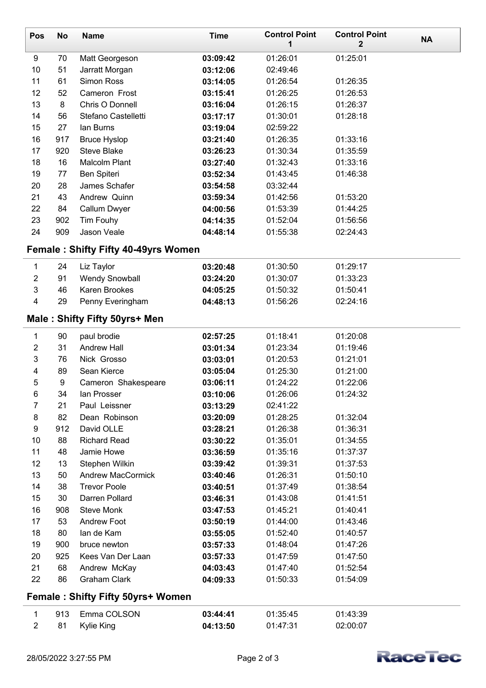| Pos                               | <b>No</b> | <b>Name</b>                                | <b>Time</b> | <b>Control Point</b><br>1 | <b>Control Point</b><br>2 | <b>NA</b> |
|-----------------------------------|-----------|--------------------------------------------|-------------|---------------------------|---------------------------|-----------|
| 9                                 | 70        | Matt Georgeson                             | 03:09:42    | 01:26:01                  | 01:25:01                  |           |
| 10                                | 51        | Jarratt Morgan                             | 03:12:06    | 02:49:46                  |                           |           |
| 11                                | 61        | Simon Ross                                 | 03:14:05    | 01:26:54                  | 01:26:35                  |           |
| 12                                | 52        | Cameron Frost                              | 03:15:41    | 01:26:25                  | 01:26:53                  |           |
| 13                                | 8         | Chris O Donnell                            | 03:16:04    | 01:26:15                  | 01:26:37                  |           |
| 14                                | 56        | Stefano Castelletti                        | 03:17:17    | 01:30:01                  | 01:28:18                  |           |
| 15                                | 27        | lan Burns                                  | 03:19:04    | 02:59:22                  |                           |           |
| 16                                | 917       | <b>Bruce Hyslop</b>                        | 03:21:40    | 01:26:35                  | 01:33:16                  |           |
| 17                                | 920       | <b>Steve Blake</b>                         | 03:26:23    | 01:30:34                  | 01:35:59                  |           |
| 18                                | 16        | <b>Malcolm Plant</b>                       | 03:27:40    | 01:32:43                  | 01:33:16                  |           |
| 19                                | 77        | Ben Spiteri                                | 03:52:34    | 01:43:45                  | 01:46:38                  |           |
| 20                                | 28        | James Schafer                              | 03:54:58    | 03:32:44                  |                           |           |
| 21                                | 43        | Andrew Quinn                               | 03:59:34    | 01:42:56                  | 01:53:20                  |           |
| 22                                | 84        | Callum Dwyer                               | 04:00:56    | 01:53:39                  | 01:44:25                  |           |
| 23                                | 902       | Tim Fouhy                                  | 04:14:35    | 01:52:04                  | 01:56:56                  |           |
| 24                                | 909       | Jason Veale                                | 04:48:14    | 01:55:38                  | 02:24:43                  |           |
|                                   |           | <b>Female: Shifty Fifty 40-49yrs Women</b> |             |                           |                           |           |
| $\mathbf{1}$                      | 24        | Liz Taylor                                 | 03:20:48    | 01:30:50                  | 01:29:17                  |           |
| $\overline{2}$                    | 91        | <b>Wendy Snowball</b>                      | 03:24:20    | 01:30:07                  | 01:33:23                  |           |
| 3                                 | 46        | Karen Brookes                              | 04:05:25    | 01:50:32                  | 01:50:41                  |           |
| 4                                 | 29        | Penny Everingham                           | 04:48:13    | 01:56:26                  | 02:24:16                  |           |
|                                   |           | Male: Shifty Fifty 50yrs+ Men              |             |                           |                           |           |
| $\mathbf{1}$                      | 90        | paul brodie                                | 02:57:25    | 01:18:41                  | 01:20:08                  |           |
| $\overline{2}$                    | 31        | <b>Andrew Hall</b>                         | 03:01:34    | 01:23:34                  | 01:19:46                  |           |
| 3                                 | 76        | Nick Grosso                                | 03:03:01    | 01:20:53                  | 01:21:01                  |           |
| 4                                 | 89        | Sean Kierce                                | 03:05:04    | 01:25:30                  | 01:21:00                  |           |
| 5                                 | 9         | Cameron Shakespeare                        | 03:06:11    | 01:24:22                  | 01:22:06                  |           |
| 6                                 | 34        | lan Prosser                                | 03:10:06    | 01:26:06                  | 01:24:32                  |           |
| 7                                 | 21        | Paul Leissner                              | 03:13:29    | 02:41:22                  |                           |           |
| 8                                 | 82        | Dean Robinson                              | 03:20:09    | 01:28:25                  | 01:32:04                  |           |
| 9                                 | 912       | David OLLE                                 | 03:28:21    | 01:26:38                  | 01:36:31                  |           |
| 10                                | 88        | <b>Richard Read</b>                        | 03:30:22    | 01:35:01                  | 01:34:55                  |           |
| 11                                | 48        | Jamie Howe                                 | 03:36:59    | 01:35:16                  | 01:37:37                  |           |
| 12                                | 13        | Stephen Wilkin                             | 03:39:42    | 01:39:31                  | 01:37:53                  |           |
| 13                                | 50        | <b>Andrew MacCormick</b>                   | 03:40:46    | 01:26:31                  | 01:50:10                  |           |
| 14                                | 38        | <b>Trevor Poole</b>                        | 03:40:51    | 01:37:49                  | 01:38:54                  |           |
| 15                                | 30        | Darren Pollard                             | 03:46:31    | 01:43:08                  | 01:41:51                  |           |
| 16                                | 908       | <b>Steve Monk</b>                          | 03:47:53    | 01:45:21                  | 01:40:41                  |           |
| 17                                | 53        | <b>Andrew Foot</b>                         | 03:50:19    | 01:44:00                  | 01:43:46                  |           |
| 18                                | 80        | lan de Kam                                 | 03:55:05    | 01:52:40                  | 01:40:57                  |           |
| 19                                | 900       | bruce newton                               | 03:57:33    | 01:48:04                  | 01:47:26                  |           |
| 20                                | 925       | Kees Van Der Laan                          | 03:57:33    | 01:47:59                  | 01:47:50                  |           |
| 21                                | 68        | Andrew McKay                               | 04:03:43    | 01:47:40                  | 01:52:54                  |           |
| 22                                | 86        | <b>Graham Clark</b>                        | 04:09:33    | 01:50:33                  | 01:54:09                  |           |
| Female: Shifty Fifty 50yrs+ Women |           |                                            |             |                           |                           |           |
| 1                                 | 913       | Emma COLSON                                | 03:44:41    | 01:35:45                  | 01:43:39                  |           |
| $\overline{c}$                    | 81        | Kylie King                                 | 04:13:50    | 01:47:31                  | 02:00:07                  |           |
|                                   |           |                                            |             |                           |                           |           |

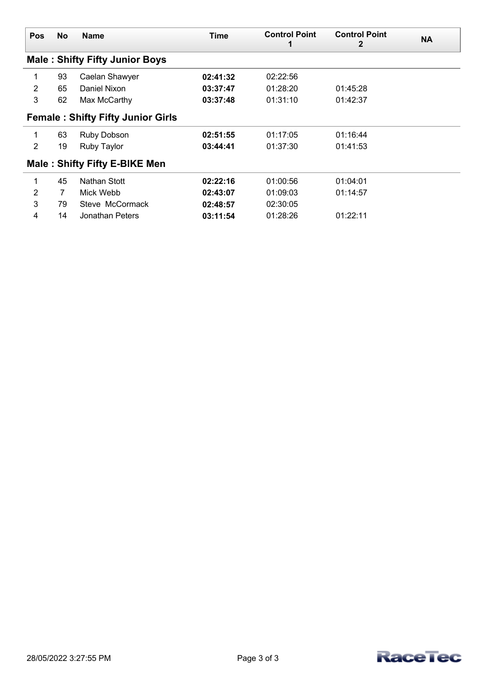| <b>Pos</b>     | <b>No</b> | <b>Name</b>                              | Time     | <b>Control Point</b> | <b>Control Point</b><br>2 | <b>NA</b> |
|----------------|-----------|------------------------------------------|----------|----------------------|---------------------------|-----------|
|                |           | <b>Male: Shifty Fifty Junior Boys</b>    |          |                      |                           |           |
| 1              | 93        | Caelan Shawyer                           | 02:41:32 | 02:22:56             |                           |           |
| $\overline{2}$ | 65        | Daniel Nixon                             | 03:37:47 | 01:28:20             | 01:45:28                  |           |
| 3              | 62        | Max McCarthy                             | 03:37:48 | 01:31:10             | 01:42:37                  |           |
|                |           | <b>Female: Shifty Fifty Junior Girls</b> |          |                      |                           |           |
| 1              | 63        | Ruby Dobson                              | 02:51:55 | 01:17:05             | 01:16:44                  |           |
| $\overline{2}$ | 19        | Ruby Taylor                              | 03:44:41 | 01:37:30             | 01:41:53                  |           |
|                |           | <b>Male: Shifty Fifty E-BIKE Men</b>     |          |                      |                           |           |
| 1              | 45        | Nathan Stott                             | 02:22:16 | 01:00:56             | 01:04:01                  |           |
| 2              | 7         | Mick Webb                                | 02:43:07 | 01:09:03             | 01:14:57                  |           |
| 3              | 79        | Steve McCormack                          | 02:48:57 | 02:30:05             |                           |           |
| 4              | 14        | Jonathan Peters                          | 03:11:54 | 01:28:26             | 01:22:11                  |           |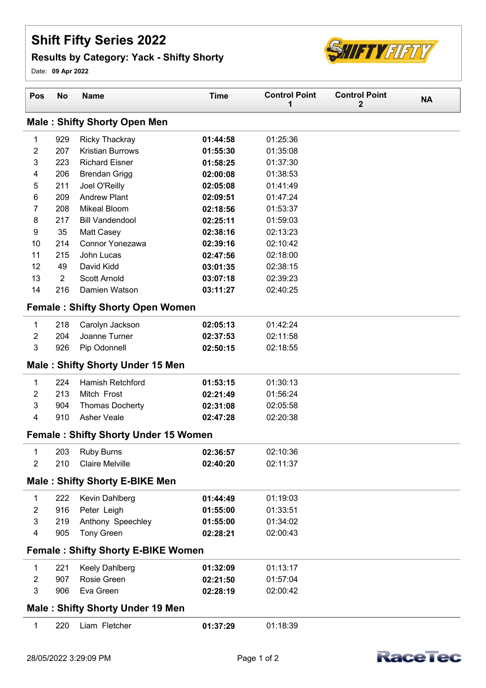## **Shift Fifty Series 2022**

## **Results by Category: Yack - Shifty Shorty**



Date: **09 Apr 2022**

| Pos              | No                                        | <b>Name</b>                                 | <b>Time</b> | <b>Control Point</b><br>1 | <b>Control Point</b><br>2 | <b>NA</b> |  |
|------------------|-------------------------------------------|---------------------------------------------|-------------|---------------------------|---------------------------|-----------|--|
|                  |                                           | <b>Male: Shifty Shorty Open Men</b>         |             |                           |                           |           |  |
| 1                | 929                                       | <b>Ricky Thackray</b>                       | 01:44:58    | 01:25:36                  |                           |           |  |
| 2                | 207                                       | <b>Kristian Burrows</b>                     | 01:55:30    | 01:35:08                  |                           |           |  |
| 3                | 223                                       | <b>Richard Eisner</b>                       | 01:58:25    | 01:37:30                  |                           |           |  |
| 4                | 206                                       | <b>Brendan Grigg</b>                        | 02:00:08    | 01:38:53                  |                           |           |  |
| 5                | 211                                       | Joel O'Reilly                               | 02:05:08    | 01:41:49                  |                           |           |  |
| 6                | 209                                       | <b>Andrew Plant</b>                         | 02:09:51    | 01:47:24                  |                           |           |  |
| 7                | 208                                       | <b>Mikeal Bloom</b>                         | 02:18:56    | 01:53:37                  |                           |           |  |
| 8                | 217                                       | <b>Bill Vandendool</b>                      | 02:25:11    | 01:59:03                  |                           |           |  |
| 9                | 35                                        | Matt Casey                                  | 02:38:16    | 02:13:23                  |                           |           |  |
| 10               | 214                                       | <b>Connor Yonezawa</b>                      | 02:39:16    | 02:10:42                  |                           |           |  |
| 11               | 215                                       | John Lucas                                  | 02:47:56    | 02:18:00                  |                           |           |  |
| 12               | 49                                        | David Kidd                                  | 03:01:35    | 02:38:15                  |                           |           |  |
| 13               | $\overline{2}$                            | <b>Scott Arnold</b>                         | 03:07:18    | 02:39:23                  |                           |           |  |
| 14               | 216                                       | Damien Watson                               | 03:11:27    | 02:40:25                  |                           |           |  |
|                  |                                           | <b>Female: Shifty Shorty Open Women</b>     |             |                           |                           |           |  |
| 1                | 218                                       | Carolyn Jackson                             | 02:05:13    | 01:42:24                  |                           |           |  |
| $\boldsymbol{2}$ | 204                                       | Joanne Turner                               | 02:37:53    | 02:11:58                  |                           |           |  |
| 3                | 926                                       | Pip Odonnell                                | 02:50:15    | 02:18:55                  |                           |           |  |
|                  |                                           | <b>Male: Shifty Shorty Under 15 Men</b>     |             |                           |                           |           |  |
| 1                | 224                                       | <b>Hamish Retchford</b>                     | 01:53:15    | 01:30:13                  |                           |           |  |
| 2                | 213                                       | Mitch Frost                                 | 02:21:49    | 01:56:24                  |                           |           |  |
| 3                | 904                                       | <b>Thomas Docherty</b>                      | 02:31:08    | 02:05:58                  |                           |           |  |
| 4                | 910                                       | <b>Asher Veale</b>                          | 02:47:28    | 02:20:38                  |                           |           |  |
|                  |                                           | <b>Female: Shifty Shorty Under 15 Women</b> |             |                           |                           |           |  |
| 1                | 203                                       | <b>Ruby Burns</b>                           | 02:36:57    | 02:10:36                  |                           |           |  |
| $\overline{2}$   | 210                                       | <b>Claire Melville</b>                      | 02:40:20    | 02:11:37                  |                           |           |  |
|                  |                                           | <b>Male: Shifty Shorty E-BIKE Men</b>       |             |                           |                           |           |  |
| 1                | 222                                       | Kevin Dahlberg                              | 01:44:49    | 01:19:03                  |                           |           |  |
| $\overline{c}$   | 916                                       | Peter Leigh                                 | 01:55:00    | 01:33:51                  |                           |           |  |
| 3                | 219                                       | Anthony Speechley                           | 01:55:00    | 01:34:02                  |                           |           |  |
| 4                | 905                                       | <b>Tony Green</b>                           | 02:28:21    | 02:00:43                  |                           |           |  |
|                  | <b>Female: Shifty Shorty E-BIKE Women</b> |                                             |             |                           |                           |           |  |
| 1                | 221                                       | Keely Dahlberg                              | 01:32:09    | 01:13:17                  |                           |           |  |
| $\overline{2}$   | 907                                       | Rosie Green                                 | 02:21:50    | 01:57:04                  |                           |           |  |
| 3                | 906                                       | Eva Green                                   | 02:28:19    | 02:00:42                  |                           |           |  |
|                  |                                           | <b>Male: Shifty Shorty Under 19 Men</b>     |             |                           |                           |           |  |
| 1                | 220                                       | Liam Fletcher                               | 01:37:29    | 01:18:39                  |                           |           |  |